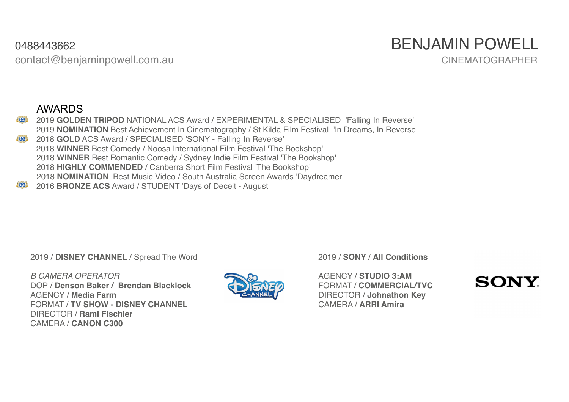contact@benjaminpowell.com.au CINEMATOGRAPHER

# 0488443662 BENJAMIN POWELL

#### AWARDS

- 2019 **GOLDEN TRIPOD** NATIONAL ACS Award / EXPERIMENTAL & SPECIALISED 'Falling In Reverse' **STACS**<sup>1</sup><sup>2</sup> 2019 **NOMINATION** Best Achievement In Cinematography / St Kilda Film Festival 'In Dreams, In Reverse 2018 **GOLD** ACS Award / SPECIALISED 'SONY - Falling In Reverse' **ELACS** 2018 **WINNER** Best Comedy / Noosa International Film Festival 'The Bookshop' 2018 **WINNER** Best Romantic Comedy / Sydney Indie Film Festival 'The Bookshop' 2018 **HIGHLY COMMENDED** / Canberra Short Film Festival 'The Bookshop' 2018 **NOMINATION** Best Music Video / South Australia Screen Awards 'Daydreamer'
- **LACS** 2016 **BRONZE ACS** Award / STUDENT 'Days of Deceit - August

2019 / **DISNEY CHANNEL** / Spread The Word

*B CAMERA OPERATOR* DOP / **Denson Baker / Brendan Blacklock** AGENCY / **Media Farm** FORMAT / **TV SHOW - DISNEY CHANNEL** DIRECTOR / **Rami Fischler** CAMERA / **CANON C300**



2019 / **SONY** / **All Conditions** 

AGENCY / **STUDIO 3:AM** FORMAT / **COMMERCIAL/TVC** DIRECTOR / **Johnathon Key** CAMERA / **ARRI Amira**

## **SONY**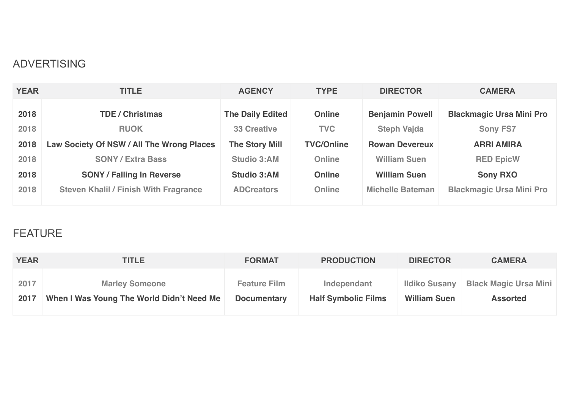#### ADVERTISING

| <b>YEAR</b> | <b>TITLE</b>                                 | <b>AGENCY</b>           | <b>TYPE</b>       | <b>DIRECTOR</b>         | <b>CAMERA</b>                   |
|-------------|----------------------------------------------|-------------------------|-------------------|-------------------------|---------------------------------|
| 2018        | <b>TDE / Christmas</b>                       | <b>The Daily Edited</b> | <b>Online</b>     | <b>Benjamin Powell</b>  | <b>Blackmagic Ursa Mini Pro</b> |
| 2018        | <b>RUOK</b>                                  | <b>33 Creative</b>      | <b>TVC</b>        | <b>Steph Vajda</b>      | <b>Sony FS7</b>                 |
| 2018        | Law Society Of NSW / All The Wrong Places    | <b>The Story Mill</b>   | <b>TVC/Online</b> | <b>Rowan Devereux</b>   | <b>ARRI AMIRA</b>               |
| 2018        | <b>SONY / Extra Bass</b>                     | <b>Studio 3:AM</b>      | Online            | <b>William Suen</b>     | <b>RED EpicW</b>                |
| 2018        | <b>SONY / Falling In Reverse</b>             | <b>Studio 3:AM</b>      | <b>Online</b>     | <b>William Suen</b>     | <b>Sony RXO</b>                 |
| 2018        | <b>Steven Khalil / Finish With Fragrance</b> | <b>ADCreators</b>       | Online            | <b>Michelle Bateman</b> | <b>Blackmagic Ursa Mini Pro</b> |

#### FEATURE

| <b>YEAR</b> | <b>TITLE</b>                              | <b>FORMAT</b>       | <b>PRODUCTION</b>          | <b>DIRECTOR</b>      | <b>CAMERA</b>                |
|-------------|-------------------------------------------|---------------------|----------------------------|----------------------|------------------------------|
| 2017        | <b>Marley Someone</b>                     | <b>Feature Film</b> | Independant                | <b>Ildiko Susany</b> | <b>Black Magic Ursa Mini</b> |
| 2017        | When I Was Young The World Didn't Need Me | <b>Documentary</b>  | <b>Half Symbolic Films</b> | <b>William Suen</b>  | <b>Assorted</b>              |
|             |                                           |                     |                            |                      |                              |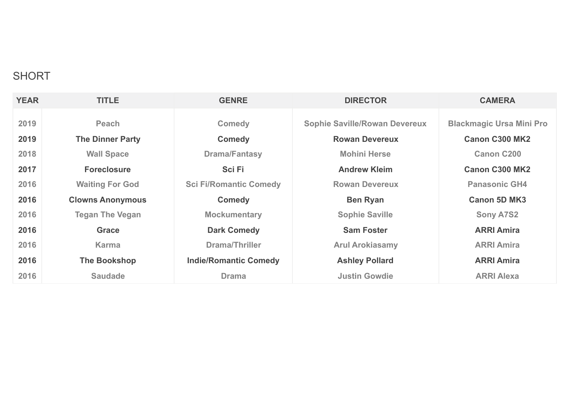### SHORT

| <b>YEAR</b> | <b>TITLE</b>            | <b>GENRE</b>                  | <b>DIRECTOR</b>                      | <b>CAMERA</b>                   |
|-------------|-------------------------|-------------------------------|--------------------------------------|---------------------------------|
| 2019        | Peach                   | <b>Comedy</b>                 | <b>Sophie Saville/Rowan Devereux</b> | <b>Blackmagic Ursa Mini Pro</b> |
| 2019        | <b>The Dinner Party</b> | <b>Comedy</b>                 | <b>Rowan Devereux</b>                | <b>Canon C300 MK2</b>           |
| 2018        | <b>Wall Space</b>       | <b>Drama/Fantasy</b>          | <b>Mohini Herse</b>                  | <b>Canon C200</b>               |
| 2017        | <b>Foreclosure</b>      | <b>SciFi</b>                  | <b>Andrew Kleim</b>                  | <b>Canon C300 MK2</b>           |
| 2016        | <b>Waiting For God</b>  | <b>Sci Fi/Romantic Comedy</b> | <b>Rowan Devereux</b>                | <b>Panasonic GH4</b>            |
| 2016        | <b>Clowns Anonymous</b> | <b>Comedy</b>                 | <b>Ben Ryan</b>                      | <b>Canon 5D MK3</b>             |
| 2016        | <b>Tegan The Vegan</b>  | <b>Mockumentary</b>           | <b>Sophie Saville</b>                | <b>Sony A7S2</b>                |
| 2016        | <b>Grace</b>            | <b>Dark Comedy</b>            | <b>Sam Foster</b>                    | <b>ARRI Amira</b>               |
| 2016        | <b>Karma</b>            | Drama/Thriller                | <b>Arul Arokiasamy</b>               | <b>ARRI Amira</b>               |
| 2016        | The Bookshop            | <b>Indie/Romantic Comedy</b>  | <b>Ashley Pollard</b>                | <b>ARRI Amira</b>               |
| 2016        | <b>Saudade</b>          | <b>Drama</b>                  | <b>Justin Gowdie</b>                 | <b>ARRI Alexa</b>               |